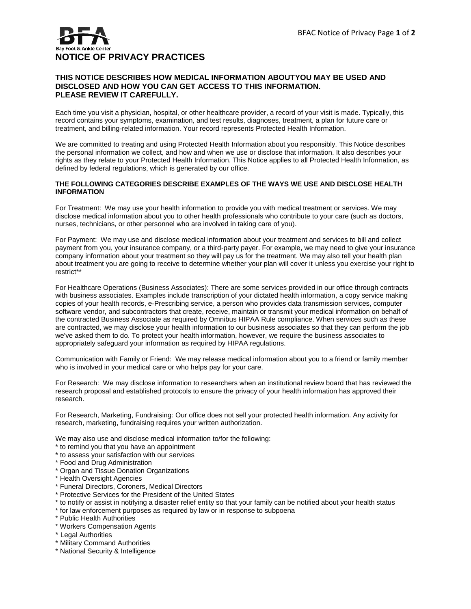## **NOTICE OF PRIVACY PRACTICES**

## **THIS NOTICE DESCRIBES HOW MEDICAL INFORMATION ABOUTYOU MAY BE USED AND DISCLOSED AND HOW YOU CAN GET ACCESS TO THIS INFORMATION. PLEASE REVIEW IT CAREFULLY.**

Each time you visit a physician, hospital, or other healthcare provider, a record of your visit is made. Typically, this record contains your symptoms, examination, and test results, diagnoses, treatment, a plan for future care or treatment, and billing-related information. Your record represents Protected Health Information.

We are committed to treating and using Protected Health Information about you responsibly. This Notice describes the personal information we collect, and how and when we use or disclose that information. It also describes your rights as they relate to your Protected Health Information. This Notice applies to all Protected Health Information, as defined by federal regulations, which is generated by our office.

## **THE FOLLOWING CATEGORIES DESCRIBE EXAMPLES OF THE WAYS WE USE AND DISCLOSE HEALTH INFORMATION**

For Treatment: We may use your health information to provide you with medical treatment or services. We may disclose medical information about you to other health professionals who contribute to your care (such as doctors, nurses, technicians, or other personnel who are involved in taking care of you).

For Payment: We may use and disclose medical information about your treatment and services to bill and collect payment from you, your insurance company, or a third-party payer. For example, we may need to give your insurance company information about your treatment so they will pay us for the treatment. We may also tell your health plan about treatment you are going to receive to determine whether your plan will cover it-unless you exercise your right to restrict\*\*

For Healthcare Operations (Business Associates): There are some services provided in our office through contracts with business associates. Examples include transcription of your dictated health information, a copy service making copies of your health records, e-Prescribing service, a person who provides data transmission services, computer software vendor, and subcontractors that create, receive, maintain or transmit your medical information on behalf of the contracted Business Associate as required by Omnibus HIPAA Rule compliance. When services such as these are contracted, we may disclose your health information to our business associates so that they can perform the job we've asked them to do. To protect your health information, however, we require the business associates to appropriately safeguard your information as required by HIPAA regulations.

Communication with Family or Friend: We may release medical information about you to a friend or family member who is involved in your medical care or who helps pay for your care.

For Research: We may disclose information to researchers when an institutional review board that has reviewed the research proposal and established protocols to ensure the privacy of your health information has approved their research.

For Research, Marketing, Fundraising: Our office does not sell your protected health information. Any activity for research, marketing, fundraising requires your written authorization.

We may also use and disclose medical information to/for the following:

- \* to remind you that you have an appointment
- \* to assess your satisfaction with our services
- \* Food and Drug Administration
- \* Organ and Tissue Donation Organizations
- \* Health Oversight Agencies
- \* Funeral Directors, Coroners, Medical Directors
- \* Protective Services for the President of the United States
- \* to notify or assist in notifying a disaster relief entity so that your family can be notified about your health status
- \* for law enforcement purposes as required by law or in response to subpoena
- \* Public Health Authorities
- \* Workers Compensation Agents
- \* Legal Authorities
- \* Military Command Authorities
- \* National Security & Intelligence